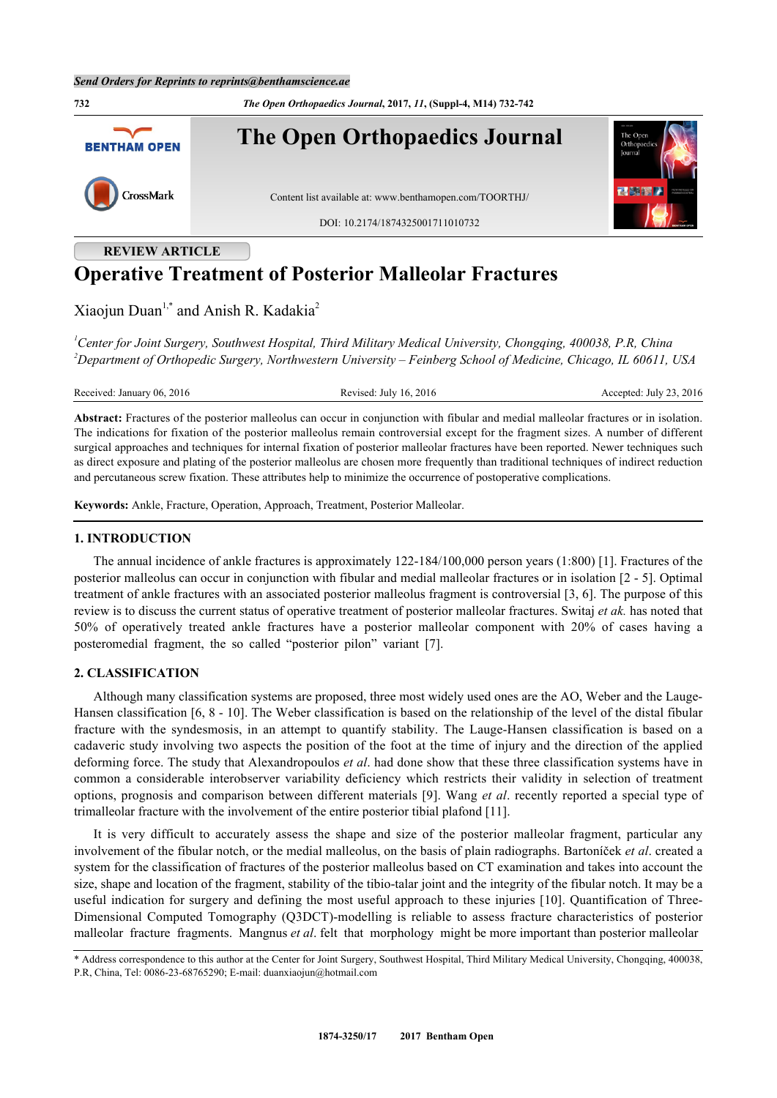**732** *The Open Orthopaedics Journal***, 2017,** *11***, (Suppl-4, M14) 732-742 The Open Orthopaedics Journal BENTHAM OPEN** CrossMark Content list available at: [www.benthamopen.com/TOORTHJ/](http://www.benthamopen.com/TOORTHJ/) DOI: [10.2174/1874325001711010732](http://dx.doi.org/10.2174/1874325001711010732) **REVIEW ARTICLE**

# **Operative Treatment of Posterior Malleolar Fractures**

Xiaojun Duan<sup>[1,](#page-0-0)[\\*](#page-0-1)</sup> and Anish R. Kadakia<sup>[2](#page--1-0)</sup>

<span id="page-0-0"></span>*<sup>1</sup>Center for Joint Surgery, Southwest Hospital, Third Military Medical University, Chongqing, 400038, P.R, China <sup>2</sup>Department of Orthopedic Surgery, Northwestern University – Feinberg School of Medicine, Chicago, IL 60611, USA*

Received: January 06, 2016 Revised: July 16, 2016 Revised: July 23, 2016

**Abstract:** Fractures of the posterior malleolus can occur in conjunction with fibular and medial malleolar fractures or in isolation. The indications for fixation of the posterior malleolus remain controversial except for the fragment sizes. A number of different surgical approaches and techniques for internal fixation of posterior malleolar fractures have been reported. Newer techniques such as direct exposure and plating of the posterior malleolus are chosen more frequently than traditional techniques of indirect reduction and percutaneous screw fixation. These attributes help to minimize the occurrence of postoperative complications.

**Keywords:** Ankle, Fracture, Operation, Approach, Treatment, Posterior Malleolar.

### **1. INTRODUCTION**

The annual incidence of ankle fractures is approximately 122-184/100,000 person years (1:800) [\[1](#page-7-0)]. Fractures of the posterior malleolus can occur in conjunction with fibular and medial malleolar fractures or in isolation [\[2](#page-7-1) - [5](#page-7-2)]. Optimal treatment of ankle fractures with an associated posterior malleolus fragment is controversial [[3](#page-7-3), [6](#page-7-4)]. The purpose of this review is to discuss the current status of operative treatment of posterior malleolar fractures. Switaj *et ak.* has noted that 50% of operatively treated ankle fractures have a posterior malleolar component with 20% of cases having a posteromedial fragment, the so called "posterior pilon" variant [\[7](#page-7-5)].

#### **2. CLASSIFICATION**

Although many classification systems are proposed, three most widely used ones are the AO, Weber and the Lauge-Hansen classification [[6,](#page-7-4) [8](#page-7-6) - [10](#page-7-7)]. The Weber classification is based on the relationship of the level of the distal fibular fracture with the syndesmosis, in an attempt to quantify stability. The Lauge-Hansen classification is based on a cadaveric study involving two aspects the position of the foot at the time of injury and the direction of the applied deforming force. The study that Alexandropoulos *et al*. had done show that these three classification systems have in common a considerable interobserver variability deficiency which restricts their validity in selection of treatment options, prognosis and comparison between different materials [[9](#page-7-8)]. Wang *et al*. recently reported a special type of trimalleolar fracture with the involvement of the entire posterior tibial plafond [\[11](#page-7-9)].

It is very difficult to accurately assess the shape and size of the posterior malleolar fragment, particular any involvement of the fibular notch, or the medial malleolus, on the basis of plain radiographs. Bartoníček *et al*. created a system for the classification of fractures of the posterior malleolus based on CT examination and takes into account the size, shape and location of the fragment, stability of the tibio-talar joint and the integrity of the fibular notch. It may be a useful indication for surgery and defining the most useful approach to these injuries [[10](#page-7-7)]. Quantification of Three-Dimensional Computed Tomography (Q3DCT)-modelling is reliable to assess fracture characteristics of posterior malleolar fracture fragments. Mangnus *et al*. felt that morphology might be more important than posterior malleolar

<span id="page-0-1"></span><sup>\*</sup> Address correspondence to this author at the Center for Joint Surgery, Southwest Hospital, Third Military Medical University, Chongqing, 400038, P.R, China, Tel: 0086-23-68765290; E-mail: [duanxiaojun@hotmail.com](mailto:duanxiaojun@hotmail.com)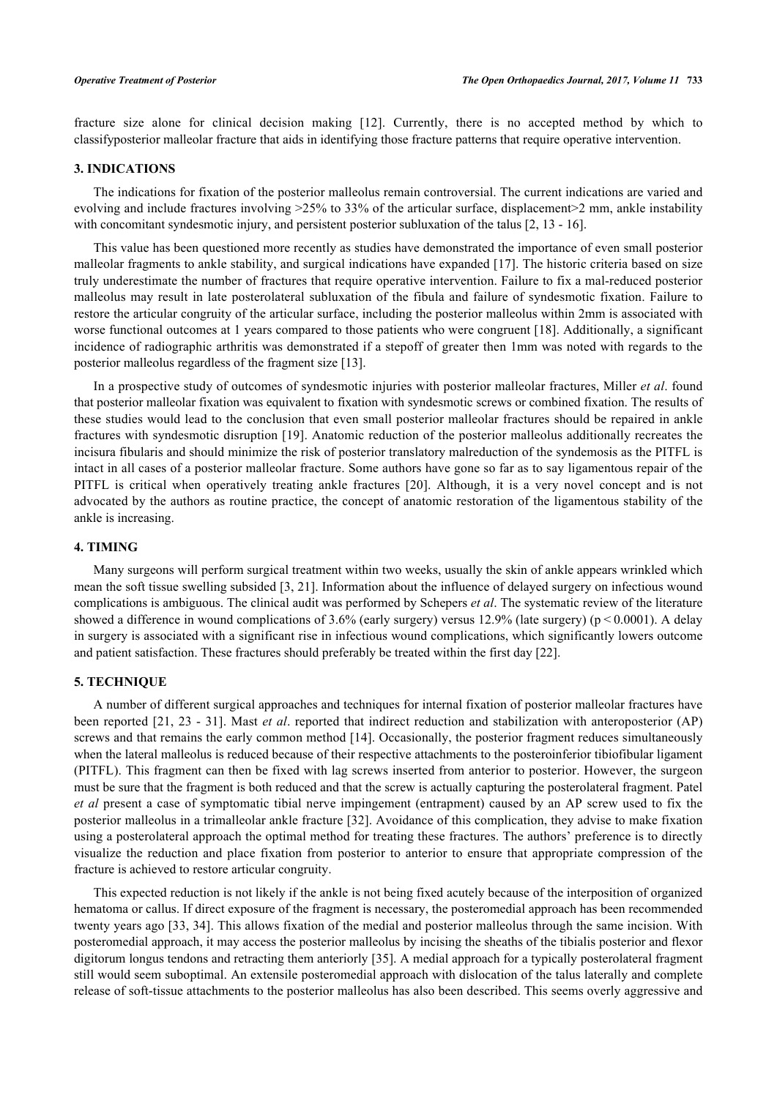fracture size alone for clinical decision making [\[12](#page-7-10)]. Currently, there is no accepted method by which to classifyposterior malleolar fracture that aids in identifying those fracture patterns that require operative intervention.

#### **3. INDICATIONS**

The indications for fixation of the posterior malleolus remain controversial. The current indications are varied and evolving and include fractures involving  $>25\%$  to 33% of the articular surface, displacement  $>2$  mm, ankle instability with concomitant syndesmotic injury, and persistent posterior subluxation of the talus [[2,](#page-7-1) [13](#page-7-11) - [16\]](#page-7-12).

This value has been questioned more recently as studies have demonstrated the importance of even small posterior malleolar fragments to ankle stability, and surgical indications have expanded [[17\]](#page-7-13). The historic criteria based on size truly underestimate the number of fractures that require operative intervention. Failure to fix a mal-reduced posterior malleolus may result in late posterolateral subluxation of the fibula and failure of syndesmotic fixation. Failure to restore the articular congruity of the articular surface, including the posterior malleolus within 2mm is associated with worse functional outcomes at 1 years compared to those patients who were congruent [[18](#page-7-14)]. Additionally, a significant incidence of radiographic arthritis was demonstrated if a stepoff of greater then 1mm was noted with regards to the posterior malleolus regardless of the fragment size [[13\]](#page-7-11).

In a prospective study of outcomes of syndesmotic injuries with posterior malleolar fractures, Miller *et al*. found that posterior malleolar fixation was equivalent to fixation with syndesmotic screws or combined fixation. The results of these studies would lead to the conclusion that even small posterior malleolar fractures should be repaired in ankle fractures with syndesmotic disruption [[19\]](#page-8-0). Anatomic reduction of the posterior malleolus additionally recreates the incisura fibularis and should minimize the risk of posterior translatory malreduction of the syndemosis as the PITFL is intact in all cases of a posterior malleolar fracture. Some authors have gone so far as to say ligamentous repair of the PITFL is critical when operatively treating ankle fractures [\[20](#page-8-1)]. Although, it is a very novel concept and is not advocated by the authors as routine practice, the concept of anatomic restoration of the ligamentous stability of the ankle is increasing.

#### **4. TIMING**

Many surgeons will perform surgical treatment within two weeks, usually the skin of ankle appears wrinkled which mean the soft tissue swelling subsided [[3,](#page-7-3) [21](#page-8-2)]. Information about the influence of delayed surgery on infectious wound complications is ambiguous. The clinical audit was performed by Schepers *et al*. The systematic review of the literature showed a difference in wound complications of 3.6% (early surgery) versus 12.9% (late surgery) (p < 0.0001). A delay in surgery is associated with a significant rise in infectious wound complications, which significantly lowers outcome and patient satisfaction. These fractures should preferably be treated within the first day [[22\]](#page-8-3).

# **5. TECHNIQUE**

A number of different surgical approaches and techniques for internal fixation of posterior malleolar fractures have been reported [[21,](#page-8-2) [23](#page-8-4) - [31\]](#page-8-5). Mast *et al*. reported that indirect reduction and stabilization with anteroposterior (AP) screws and that remains the early common method [[14\]](#page-7-15). Occasionally, the posterior fragment reduces simultaneously when the lateral malleolus is reduced because of their respective attachments to the posteroinferior tibiofibular ligament (PITFL). This fragment can then be fixed with lag screws inserted from anterior to posterior. However, the surgeon must be sure that the fragment is both reduced and that the screw is actually capturing the posterolateral fragment. Patel *et al* present a case of symptomatic tibial nerve impingement (entrapment) caused by an AP screw used to fix the posterior malleolus in a trimalleolar ankle fracture [\[32](#page-8-6)]. Avoidance of this complication, they advise to make fixation using a posterolateral approach the optimal method for treating these fractures. The authors' preference is to directly visualize the reduction and place fixation from posterior to anterior to ensure that appropriate compression of the fracture is achieved to restore articular congruity.

This expected reduction is not likely if the ankle is not being fixed acutely because of the interposition of organized hematoma or callus. If direct exposure of the fragment is necessary, the posteromedial approach has been recommended twenty years ago [\[33](#page-8-7), [34\]](#page-8-8). This allows fixation of the medial and posterior malleolus through the same incision. With posteromedial approach, it may access the posterior malleolus by incising the sheaths of the tibialis posterior and flexor digitorum longus tendons and retracting them anteriorly [\[35](#page-8-9)]. A medial approach for a typically posterolateral fragment still would seem suboptimal. An extensile posteromedial approach with dislocation of the talus laterally and complete release of soft-tissue attachments to the posterior malleolus has also been described. This seems overly aggressive and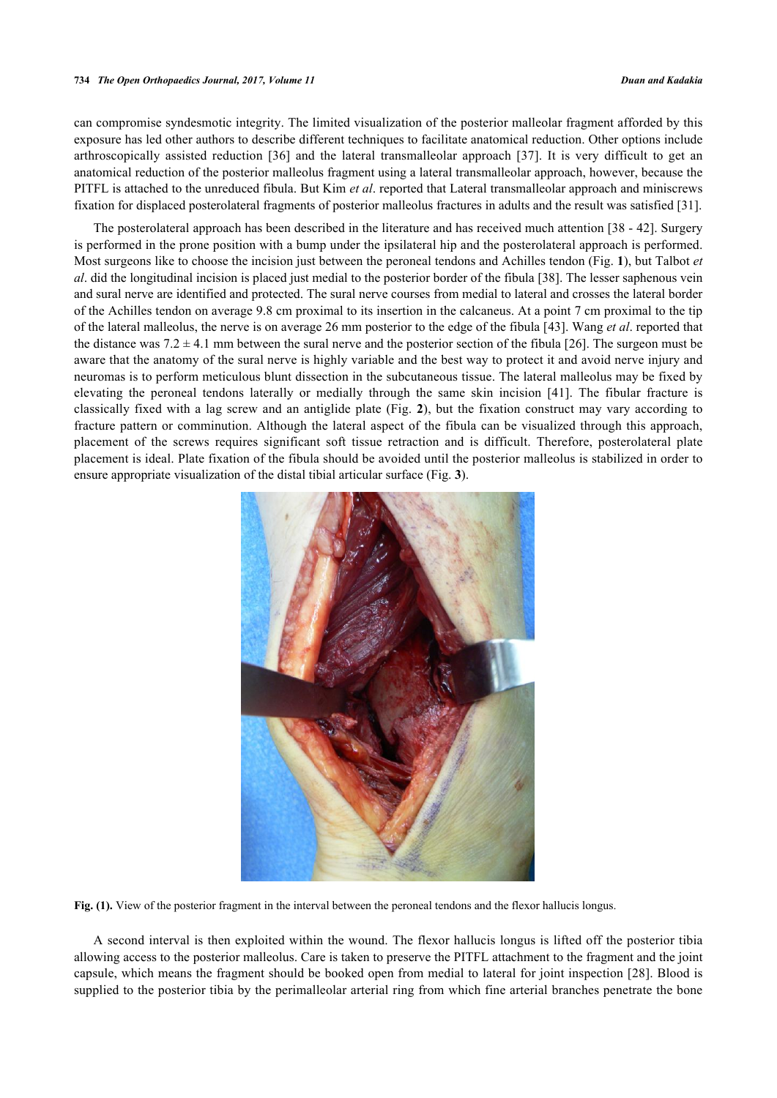can compromise syndesmotic integrity. The limited visualization of the posterior malleolar fragment afforded by this exposure has led other authors to describe different techniques to facilitate anatomical reduction. Other options include arthroscopically assisted reduction[[36](#page-8-10)] and the lateral transmalleolar approach [\[37\]](#page-8-11). It is very difficult to get an anatomical reduction of the posterior malleolus fragment using a lateral transmalleolar approach, however, because the PITFL is attached to the unreduced fibula. But Kim *et al*. reported that Lateral transmalleolar approach and miniscrews fixation for displaced posterolateral fragments of posterior malleolus fractures in adults and the result was satisfied [\[31](#page-8-5)].

The posterolateral approach has been described in the literature and has received much attention [[38](#page-8-12) - [42](#page-9-0)]. Surgery is performed in the prone position with a bump under the ipsilateral hip and the posterolateral approach is performed. Most surgeons like to choose the incision just between the peroneal tendons and Achilles tendon (Fig. **[1](#page-2-0)**), but Talbot *et al*. did the longitudinal incision is placed just medial to the posterior border of the fibula [\[38](#page-8-12)]. The lesser saphenous vein and sural nerve are identified and protected. The sural nerve courses from medial to lateral and crosses the lateral border of the Achilles tendon on average 9.8 cm proximal to its insertion in the calcaneus. At a point 7 cm proximal to the tip of the lateral malleolus, the nerve is on average 26 mm posterior to the edge of the fibula [[43\]](#page-9-1). Wang *et al*. reported that the distance was  $7.2 \pm 4.1$  mm between the sural nerve and the posterior section of the fibula [[26](#page-8-13)]. The surgeon must be aware that the anatomy of the sural nerve is highly variable and the best way to protect it and avoid nerve injury and neuromas is to perform meticulous blunt dissection in the subcutaneous tissue. The lateral malleolus may be fixed by elevating the peroneal tendons laterally or medially through the same skin incision[[41](#page-9-2)]. The fibular fracture is classically fixed with a lag screw and an antiglide plate (Fig. **[2](#page-3-0)**), but the fixation construct may vary according to fracture pattern or comminution. Although the lateral aspect of the fibula can be visualized through this approach, placement of the screws requires significant soft tissue retraction and is difficult. Therefore, posterolateral plate placement is ideal. Plate fixation of the fibula should be avoided until the posterior malleolus is stabilized in order to ensure appropriate visualization of the distal tibial articular surface (Fig. **[3](#page-4-0)**).

<span id="page-2-0"></span>

**Fig. (1).** View of the posterior fragment in the interval between the peroneal tendons and the flexor hallucis longus.

A second interval is then exploited within the wound. The flexor hallucis longus is lifted off the posterior tibia allowing access to the posterior malleolus. Care is taken to preserve the PITFL attachment to the fragment and the joint capsule, which means the fragment should be booked open from medial to lateral for joint inspection [\[28\]](#page-8-14). Blood is supplied to the posterior tibia by the perimalleolar arterial ring from which fine arterial branches penetrate the bone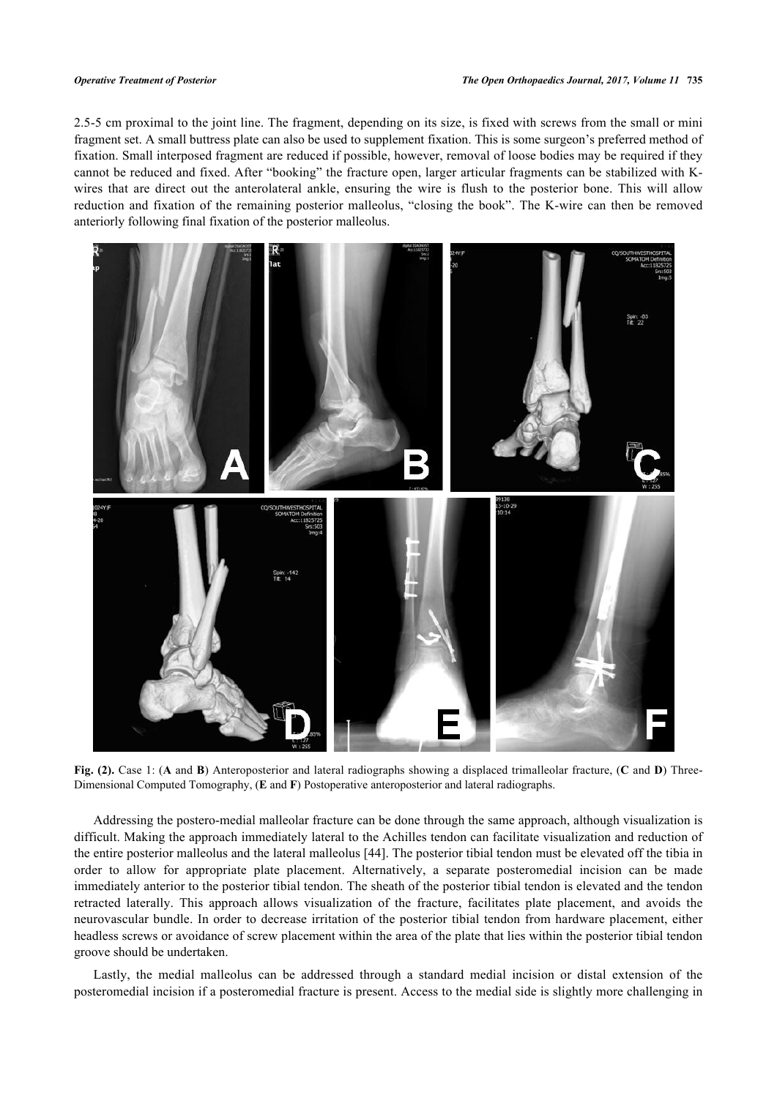2.5-5 cm proximal to the joint line. The fragment, depending on its size, is fixed with screws from the small or mini fragment set. A small buttress plate can also be used to supplement fixation. This is some surgeon's preferred method of fixation. Small interposed fragment are reduced if possible, however, removal of loose bodies may be required if they cannot be reduced and fixed. After "booking" the fracture open, larger articular fragments can be stabilized with Kwires that are direct out the anterolateral ankle, ensuring the wire is flush to the posterior bone. This will allow reduction and fixation of the remaining posterior malleolus, "closing the book". The K-wire can then be removed anteriorly following final fixation of the posterior malleolus.

<span id="page-3-0"></span>

**Fig. (2).** Case 1: (**A** and **B**) Anteroposterior and lateral radiographs showing a displaced trimalleolar fracture, (**C** and **D**) Three-Dimensional Computed Tomography, (**E** and **F**) Postoperative anteroposterior and lateral radiographs.

Addressing the postero-medial malleolar fracture can be done through the same approach, although visualization is difficult. Making the approach immediately lateral to the Achilles tendon can facilitate visualization and reduction of the entire posterior malleolus and the lateral malleolus [\[44](#page-9-3)]. The posterior tibial tendon must be elevated off the tibia in order to allow for appropriate plate placement. Alternatively, a separate posteromedial incision can be made immediately anterior to the posterior tibial tendon. The sheath of the posterior tibial tendon is elevated and the tendon retracted laterally. This approach allows visualization of the fracture, facilitates plate placement, and avoids the neurovascular bundle. In order to decrease irritation of the posterior tibial tendon from hardware placement, either headless screws or avoidance of screw placement within the area of the plate that lies within the posterior tibial tendon groove should be undertaken.

Lastly, the medial malleolus can be addressed through a standard medial incision or distal extension of the posteromedial incision if a posteromedial fracture is present. Access to the medial side is slightly more challenging in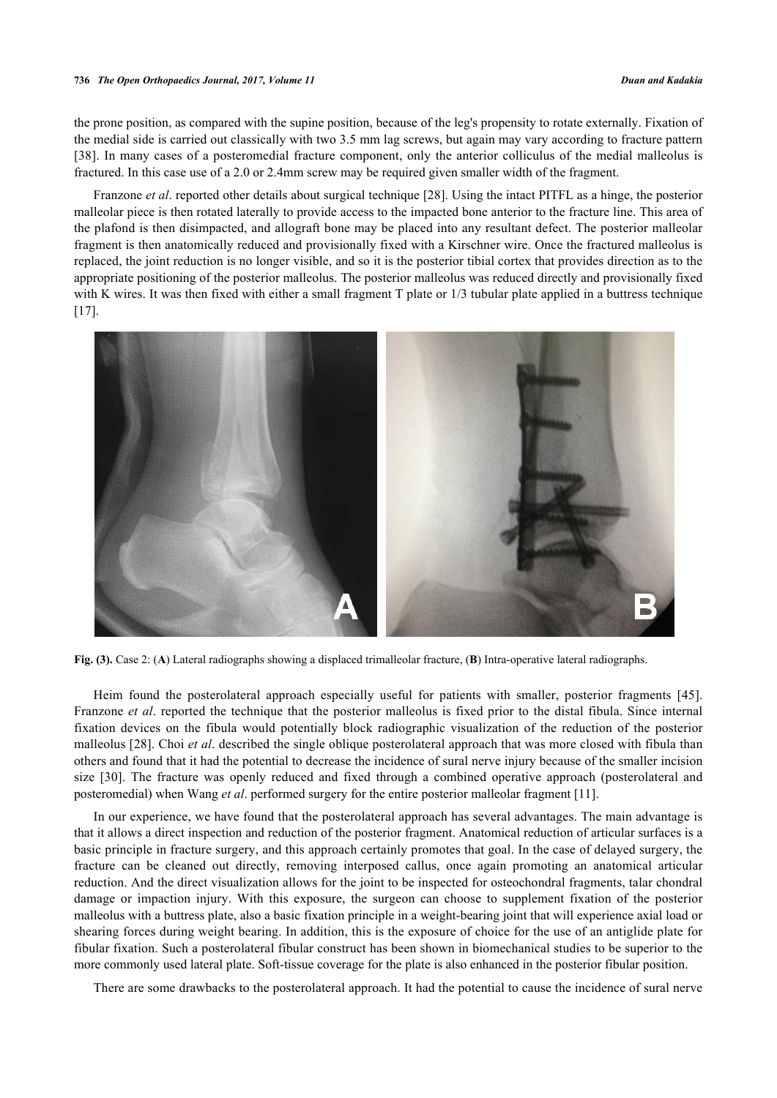#### **736** *The Open Orthopaedics Journal, 2017, Volume 11 Duan and Kadakia*

the prone position, as compared with the supine position, because of the leg's propensity to rotate externally. Fixation of the medial side is carried out classically with two 3.5 mm lag screws, but again may vary according to fracture pattern [\[38](#page-8-12)]. In many cases of a posteromedial fracture component, only the anterior colliculus of the medial malleolus is fractured. In this case use of a 2.0 or 2.4mm screw may be required given smaller width of the fragment.

Franzone *et al*. reported other details about surgical technique [[28\]](#page-8-14). Using the intact PITFL as a hinge, the posterior malleolar piece is then rotated laterally to provide access to the impacted bone anterior to the fracture line. This area of the plafond is then disimpacted, and allograft bone may be placed into any resultant defect. The posterior malleolar fragment is then anatomically reduced and provisionally fixed with a Kirschner wire. Once the fractured malleolus is replaced, the joint reduction is no longer visible, and so it is the posterior tibial cortex that provides direction as to the appropriate positioning of the posterior malleolus. The posterior malleolus was reduced directly and provisionally fixed with K wires. It was then fixed with either a small fragment T plate or  $1/3$  tubular plate applied in a buttress technique  $[17]$  $[17]$ .

<span id="page-4-0"></span>

**Fig. (3).** Case 2: (**A**) Lateral radiographs showing a displaced trimalleolar fracture, (**B**) Intra-operative lateral radiographs.

Heim found the posterolateral approach especially useful for patients with smaller, posterior fragments [\[45\]](#page-9-4). Franzone *et al*. reported the technique that the posterior malleolus is fixed prior to the distal fibula. Since internal fixation devices on the fibula would potentially block radiographic visualization of the reduction of the posterior malleolus [[28\]](#page-8-14). Choi *et al*. described the single oblique posterolateral approach that was more closed with fibula than others and found that it had the potential to decrease the incidence of sural nerve injury because of the smaller incision size [\[30](#page-8-15)]. The fracture was openly reduced and fixed through a combined operative approach (posterolateral and posteromedial) when Wang *et al*. performed surgery for the entire posterior malleolar fragment [\[11](#page-7-9)].

In our experience, we have found that the posterolateral approach has several advantages. The main advantage is that it allows a direct inspection and reduction of the posterior fragment. Anatomical reduction of articular surfaces is a basic principle in fracture surgery, and this approach certainly promotes that goal. In the case of delayed surgery, the fracture can be cleaned out directly, removing interposed callus, once again promoting an anatomical articular reduction. And the direct visualization allows for the joint to be inspected for osteochondral fragments, talar chondral damage or impaction injury. With this exposure, the surgeon can choose to supplement fixation of the posterior malleolus with a buttress plate, also a basic fixation principle in a weight-bearing joint that will experience axial load or shearing forces during weight bearing. In addition, this is the exposure of choice for the use of an antiglide plate for fibular fixation. Such a posterolateral fibular construct has been shown in biomechanical studies to be superior to the more commonly used lateral plate. Soft-tissue coverage for the plate is also enhanced in the posterior fibular position.

There are some drawbacks to the posterolateral approach. It had the potential to cause the incidence of sural nerve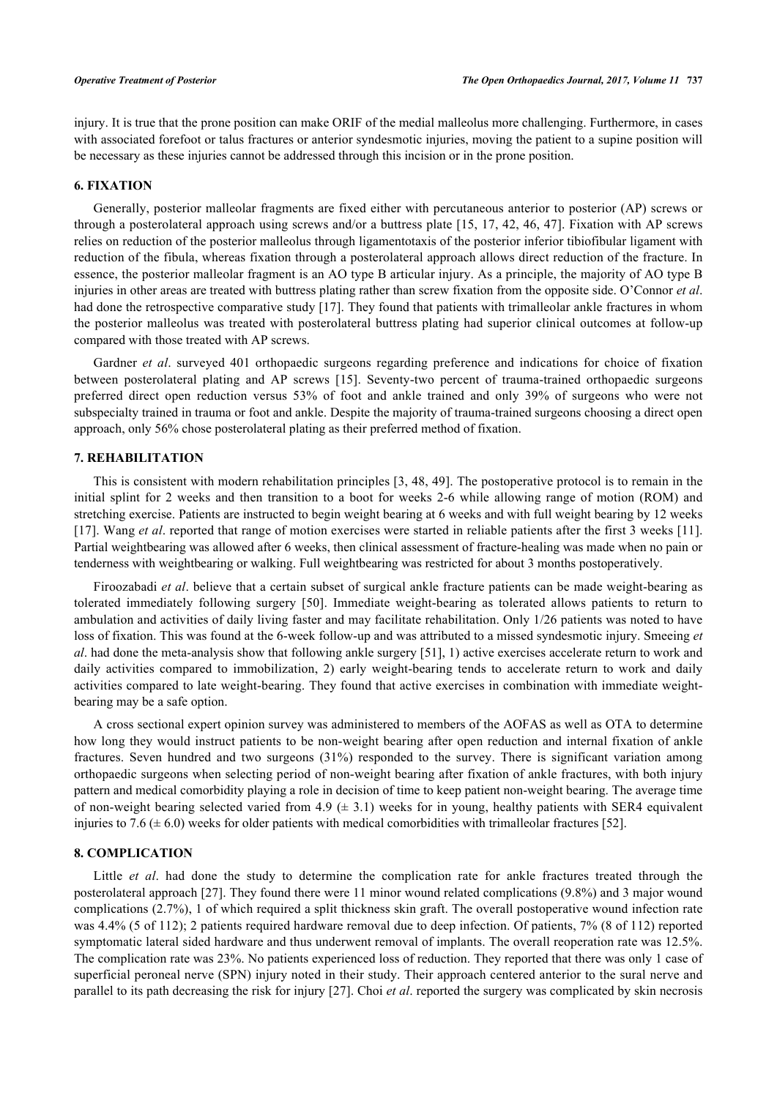injury. It is true that the prone position can make ORIF of the medial malleolus more challenging. Furthermore, in cases with associated forefoot or talus fractures or anterior syndesmotic injuries, moving the patient to a supine position will be necessary as these injuries cannot be addressed through this incision or in the prone position.

#### **6. FIXATION**

Generally, posterior malleolar fragments are fixed either with percutaneous anterior to posterior (AP) screws or through a posterolateral approach using screws and/or a buttress plate [\[15,](#page-7-16) [17](#page-7-13), [42](#page-9-0), [46](#page-9-5), [47](#page-9-6)]. Fixation with AP screws relies on reduction of the posterior malleolus through ligamentotaxis of the posterior inferior tibiofibular ligament with reduction of the fibula, whereas fixation through a posterolateral approach allows direct reduction of the fracture. In essence, the posterior malleolar fragment is an AO type B articular injury. As a principle, the majority of AO type B injuries in other areas are treated with buttress plating rather than screw fixation from the opposite side. O'Connor *et al*. had done the retrospective comparative study [[17\]](#page-7-13). They found that patients with trimalleolar ankle fractures in whom the posterior malleolus was treated with posterolateral buttress plating had superior clinical outcomes at follow-up compared with those treated with AP screws.

Gardner *et al*. surveyed 401 orthopaedic surgeons regarding preference and indications for choice of fixation between posterolateral plating and AP screws[[15\]](#page-7-16). Seventy-two percent of trauma-trained orthopaedic surgeons preferred direct open reduction versus 53% of foot and ankle trained and only 39% of surgeons who were not subspecialty trained in trauma or foot and ankle. Despite the majority of trauma-trained surgeons choosing a direct open approach, only 56% chose posterolateral plating as their preferred method of fixation.

# **7. REHABILITATION**

This is consistent with modern rehabilitation principles [[3](#page-7-3), [48,](#page-9-7) [49](#page-9-8)]. The postoperative protocol is to remain in the initial splint for 2 weeks and then transition to a boot for weeks 2-6 while allowing range of motion (ROM) and stretching exercise. Patients are instructed to begin weight bearing at 6 weeks and with full weight bearing by 12 weeks [\[17](#page-7-13)]. Wang *et al*. reported that range of motion exercises were started in reliable patients after the first 3 weeks [\[11\]](#page-7-9). Partial weightbearing was allowed after 6 weeks, then clinical assessment of fracture-healing was made when no pain or tenderness with weightbearing or walking. Full weightbearing was restricted for about 3 months postoperatively.

Firoozabadi *et al*. believe that a certain subset of surgical ankle fracture patients can be made weight-bearing as tolerated immediately following surgery[[50\]](#page-9-9). Immediate weight-bearing as tolerated allows patients to return to ambulation and activities of daily living faster and may facilitate rehabilitation. Only 1/26 patients was noted to have loss of fixation. This was found at the 6-week follow-up and was attributed to a missed syndesmotic injury. Smeeing *et al*. had done the meta-analysis show that following ankle surgery [\[51](#page-9-10)], 1) active exercises accelerate return to work and daily activities compared to immobilization, 2) early weight-bearing tends to accelerate return to work and daily activities compared to late weight-bearing. They found that active exercises in combination with immediate weightbearing may be a safe option.

A cross sectional expert opinion survey was administered to members of the AOFAS as well as OTA to determine how long they would instruct patients to be non-weight bearing after open reduction and internal fixation of ankle fractures. Seven hundred and two surgeons (31%) responded to the survey. There is significant variation among orthopaedic surgeons when selecting period of non-weight bearing after fixation of ankle fractures, with both injury pattern and medical comorbidity playing a role in decision of time to keep patient non-weight bearing. The average time of non-weight bearing selected varied from 4.9 ( $\pm$  3.1) weeks for in young, healthy patients with SER4 equivalent injuries to 7.6 ( $\pm$  6.0) weeks for older patients with medical comorbidities with trimalleolar fractures [[52\]](#page-9-11).

# **8. COMPLICATION**

Little *et al*. had done the study to determine the complication rate for ankle fractures treated through the posterolateral approach [\[27](#page-8-16)]. They found there were 11 minor wound related complications (9.8%) and 3 major wound complications (2.7%), 1 of which required a split thickness skin graft. The overall postoperative wound infection rate was 4.4% (5 of 112); 2 patients required hardware removal due to deep infection. Of patients, 7% (8 of 112) reported symptomatic lateral sided hardware and thus underwent removal of implants. The overall reoperation rate was 12.5%. The complication rate was 23%. No patients experienced loss of reduction. They reported that there was only 1 case of superficial peroneal nerve (SPN) injury noted in their study. Their approach centered anterior to the sural nerve and parallel to its path decreasing the risk for injury [\[27](#page-8-16)]. Choi *et al*. reported the surgery was complicated by skin necrosis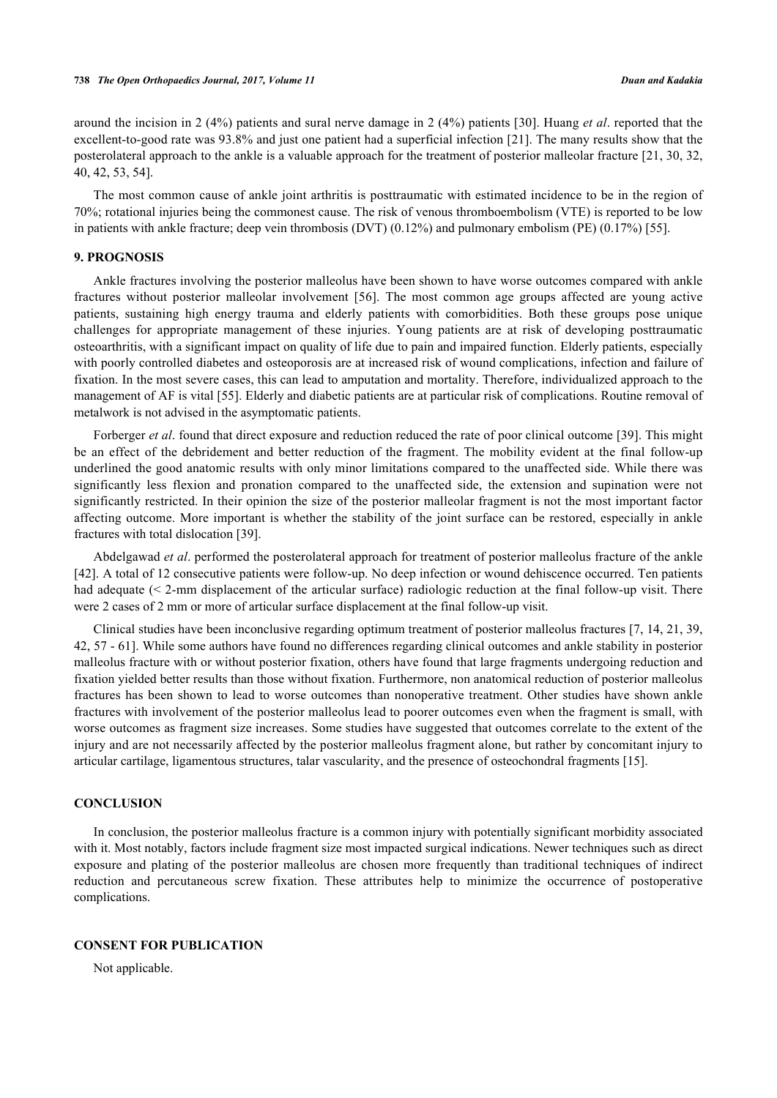around the incision in 2 (4%) patients and sural nerve damage in 2 (4%) patients [[30\]](#page-8-15). Huang *et al*. reported that the excellent-to-good rate was 93.8% and just one patient had a superficial infection [[21](#page-8-2)]. The many results show that the posterolateral approach to the ankle is a valuable approach for the treatment of posterior malleolar fracture [\[21,](#page-8-2) [30,](#page-8-15) [32](#page-8-6), [40,](#page-9-12) [42,](#page-9-0) [53,](#page-9-13) [54\]](#page-9-14).

The most common cause of ankle joint arthritis is posttraumatic with estimated incidence to be in the region of 70%; rotational injuries being the commonest cause. The risk of venous thromboembolism (VTE) is reported to be low in patients with ankle fracture; deep vein thrombosis (DVT) (0.12%) and pulmonary embolism (PE) (0.17%) [\[55](#page-9-15)].

# **9. PROGNOSIS**

Ankle fractures involving the posterior malleolus have been shown to have worse outcomes compared with ankle fractures without posterior malleolar involvement[[56](#page-9-16)]. The most common age groups affected are young active patients, sustaining high energy trauma and elderly patients with comorbidities. Both these groups pose unique challenges for appropriate management of these injuries. Young patients are at risk of developing posttraumatic osteoarthritis, with a significant impact on quality of life due to pain and impaired function. Elderly patients, especially with poorly controlled diabetes and osteoporosis are at increased risk of wound complications, infection and failure of fixation. In the most severe cases, this can lead to amputation and mortality. Therefore, individualized approach to the management of AF is vital [[55\]](#page-9-15). Elderly and diabetic patients are at particular risk of complications. Routine removal of metalwork is not advised in the asymptomatic patients.

Forberger *et al.* found that direct exposure and reduction reduced the rate of poor clinical outcome [[39](#page-8-17)]. This might be an effect of the debridement and better reduction of the fragment. The mobility evident at the final follow-up underlined the good anatomic results with only minor limitations compared to the unaffected side. While there was significantly less flexion and pronation compared to the unaffected side, the extension and supination were not significantly restricted. In their opinion the size of the posterior malleolar fragment is not the most important factor affecting outcome. More important is whether the stability of the joint surface can be restored, especially in ankle fractures with total dislocation [\[39](#page-8-17)].

Abdelgawad *et al*. performed the posterolateral approach for treatment of posterior malleolus fracture of the ankle [\[42](#page-9-0)]. A total of 12 consecutive patients were follow-up. No deep infection or wound dehiscence occurred. Ten patients had adequate (< 2-mm displacement of the articular surface) radiologic reduction at the final follow-up visit. There were 2 cases of 2 mm or more of articular surface displacement at the final follow-up visit.

Clinical studies have been inconclusive regarding optimum treatment of posterior malleolus fractures [[7,](#page-7-5) [14,](#page-7-15) [21,](#page-8-2) [39](#page-8-17), [42,](#page-9-0) [57](#page-9-17) - [61\]](#page-10-0). While some authors have found no differences regarding clinical outcomes and ankle stability in posterior malleolus fracture with or without posterior fixation, others have found that large fragments undergoing reduction and fixation yielded better results than those without fixation. Furthermore, non anatomical reduction of posterior malleolus fractures has been shown to lead to worse outcomes than nonoperative treatment. Other studies have shown ankle fractures with involvement of the posterior malleolus lead to poorer outcomes even when the fragment is small, with worse outcomes as fragment size increases. Some studies have suggested that outcomes correlate to the extent of the injury and are not necessarily affected by the posterior malleolus fragment alone, but rather by concomitant injury to articular cartilage, ligamentous structures, talar vascularity, and the presence of osteochondral fragments [[15\]](#page-7-16).

#### **CONCLUSION**

In conclusion, the posterior malleolus fracture is a common injury with potentially significant morbidity associated with it. Most notably, factors include fragment size most impacted surgical indications. Newer techniques such as direct exposure and plating of the posterior malleolus are chosen more frequently than traditional techniques of indirect reduction and percutaneous screw fixation. These attributes help to minimize the occurrence of postoperative complications.

#### **CONSENT FOR PUBLICATION**

Not applicable.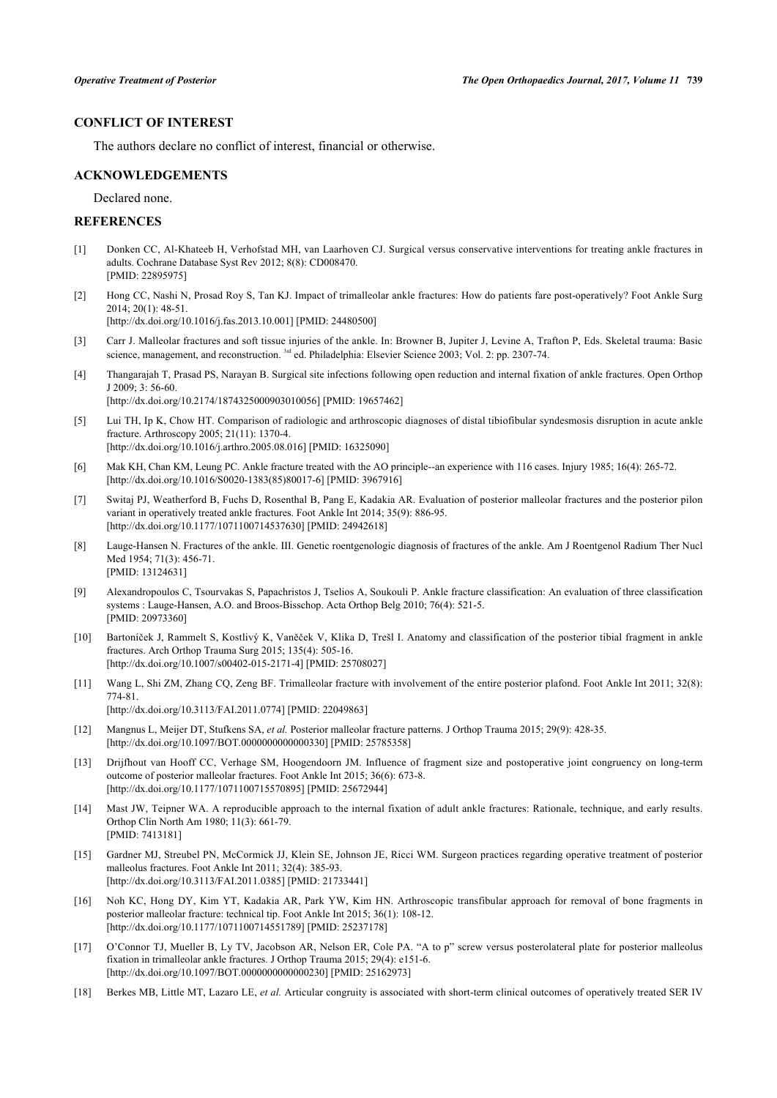# **CONFLICT OF INTEREST**

The authors declare no conflict of interest, financial or otherwise.

#### **ACKNOWLEDGEMENTS**

Declared none.

# **REFERENCES**

- <span id="page-7-0"></span>[1] Donken CC, Al-Khateeb H, Verhofstad MH, van Laarhoven CJ. Surgical versus conservative interventions for treating ankle fractures in adults. Cochrane Database Syst Rev 2012; 8(8): CD008470. [PMID: [22895975\]](http://www.ncbi.nlm.nih.gov/pubmed/22895975)
- <span id="page-7-1"></span>[2] Hong CC, Nashi N, Prosad Roy S, Tan KJ. Impact of trimalleolar ankle fractures: How do patients fare post-operatively? Foot Ankle Surg 2014; 20(1): 48-51.

[\[http://dx.doi.org/10.1016/j.fas.2013.10.001](http://dx.doi.org/10.1016/j.fas.2013.10.001)] [PMID: [24480500\]](http://www.ncbi.nlm.nih.gov/pubmed/24480500)

- <span id="page-7-3"></span>[3] Carr J. Malleolar fractures and soft tissue injuries of the ankle. In: Browner B, Jupiter J, Levine A, Trafton P, Eds. Skeletal trauma: Basic science, management, and reconstruction. <sup>3rd</sup> ed. Philadelphia: Elsevier Science 2003; Vol. 2: pp. 2307-74.
- [4] Thangarajah T, Prasad PS, Narayan B. Surgical site infections following open reduction and internal fixation of ankle fractures. Open Orthop J 2009; 3: 56-60. [\[http://dx.doi.org/10.2174/1874325000903010056\]](http://dx.doi.org/10.2174/1874325000903010056) [PMID: [19657462](http://www.ncbi.nlm.nih.gov/pubmed/19657462)]
- <span id="page-7-2"></span>[5] Lui TH, Ip K, Chow HT. Comparison of radiologic and arthroscopic diagnoses of distal tibiofibular syndesmosis disruption in acute ankle fracture. Arthroscopy 2005; 21(11): 1370-4. [\[http://dx.doi.org/10.1016/j.arthro.2005.08.016](http://dx.doi.org/10.1016/j.arthro.2005.08.016)] [PMID: [16325090\]](http://www.ncbi.nlm.nih.gov/pubmed/16325090)
- <span id="page-7-4"></span>[6] Mak KH, Chan KM, Leung PC. Ankle fracture treated with the AO principle--an experience with 116 cases. Injury 1985; 16(4): 265-72. [\[http://dx.doi.org/10.1016/S0020-1383\(85\)80017-6\]](http://dx.doi.org/10.1016/S0020-1383(85)80017-6) [PMID: [3967916](http://www.ncbi.nlm.nih.gov/pubmed/3967916)]
- <span id="page-7-5"></span>[7] Switaj PJ, Weatherford B, Fuchs D, Rosenthal B, Pang E, Kadakia AR. Evaluation of posterior malleolar fractures and the posterior pilon variant in operatively treated ankle fractures. Foot Ankle Int 2014; 35(9): 886-95. [\[http://dx.doi.org/10.1177/1071100714537630\]](http://dx.doi.org/10.1177/1071100714537630) [PMID: [24942618](http://www.ncbi.nlm.nih.gov/pubmed/24942618)]
- <span id="page-7-6"></span>[8] Lauge-Hansen N. Fractures of the ankle. III. Genetic roentgenologic diagnosis of fractures of the ankle. Am J Roentgenol Radium Ther Nucl Med 1954; 71(3): 456-71. [PMID: [13124631\]](http://www.ncbi.nlm.nih.gov/pubmed/13124631)
- <span id="page-7-8"></span>[9] Alexandropoulos C, Tsourvakas S, Papachristos J, Tselios A, Soukouli P. Ankle fracture classification: An evaluation of three classification systems : Lauge-Hansen, A.O. and Broos-Bisschop. Acta Orthop Belg 2010; 76(4): 521-5. [PMID: [20973360\]](http://www.ncbi.nlm.nih.gov/pubmed/20973360)
- <span id="page-7-7"></span>[10] Bartoníček J, Rammelt S, Kostlivý K, Vaněček V, Klika D, Trešl I. Anatomy and classification of the posterior tibial fragment in ankle fractures. Arch Orthop Trauma Surg 2015; 135(4): 505-16. [\[http://dx.doi.org/10.1007/s00402-015-2171-4\]](http://dx.doi.org/10.1007/s00402-015-2171-4) [PMID: [25708027](http://www.ncbi.nlm.nih.gov/pubmed/25708027)]
- <span id="page-7-9"></span>[11] Wang L, Shi ZM, Zhang CQ, Zeng BF. Trimalleolar fracture with involvement of the entire posterior plafond. Foot Ankle Int 2011; 32(8): 774-81.

[\[http://dx.doi.org/10.3113/FAI.2011.0774\]](http://dx.doi.org/10.3113/FAI.2011.0774) [PMID: [22049863](http://www.ncbi.nlm.nih.gov/pubmed/22049863)]

- <span id="page-7-10"></span>[12] Mangnus L, Meijer DT, Stufkens SA, *et al.* Posterior malleolar fracture patterns. J Orthop Trauma 2015; 29(9): 428-35. [\[http://dx.doi.org/10.1097/BOT.0000000000000330\]](http://dx.doi.org/10.1097/BOT.0000000000000330) [PMID: [25785358](http://www.ncbi.nlm.nih.gov/pubmed/25785358)]
- <span id="page-7-11"></span>[13] Drijfhout van Hooff CC, Verhage SM, Hoogendoorn JM. Influence of fragment size and postoperative joint congruency on long-term outcome of posterior malleolar fractures. Foot Ankle Int 2015; 36(6): 673-8. [\[http://dx.doi.org/10.1177/1071100715570895\]](http://dx.doi.org/10.1177/1071100715570895) [PMID: [25672944](http://www.ncbi.nlm.nih.gov/pubmed/25672944)]
- <span id="page-7-15"></span>[14] Mast JW, Teipner WA. A reproducible approach to the internal fixation of adult ankle fractures: Rationale, technique, and early results. Orthop Clin North Am 1980; 11(3): 661-79. [PMID: [7413181\]](http://www.ncbi.nlm.nih.gov/pubmed/7413181)
- <span id="page-7-16"></span>[15] Gardner MJ, Streubel PN, McCormick JJ, Klein SE, Johnson JE, Ricci WM. Surgeon practices regarding operative treatment of posterior malleolus fractures. Foot Ankle Int 2011; 32(4): 385-93. [\[http://dx.doi.org/10.3113/FAI.2011.0385\]](http://dx.doi.org/10.3113/FAI.2011.0385) [PMID: [21733441](http://www.ncbi.nlm.nih.gov/pubmed/21733441)]
- <span id="page-7-12"></span>[16] Noh KC, Hong DY, Kim YT, Kadakia AR, Park YW, Kim HN. Arthroscopic transfibular approach for removal of bone fragments in posterior malleolar fracture: technical tip. Foot Ankle Int 2015; 36(1): 108-12. [\[http://dx.doi.org/10.1177/1071100714551789\]](http://dx.doi.org/10.1177/1071100714551789) [PMID: [25237178](http://www.ncbi.nlm.nih.gov/pubmed/25237178)]
- <span id="page-7-13"></span>[17] O'Connor TJ, Mueller B, Ly TV, Jacobson AR, Nelson ER, Cole PA. "A to p" screw versus posterolateral plate for posterior malleolus fixation in trimalleolar ankle fractures. J Orthop Trauma 2015; 29(4): e151-6. [\[http://dx.doi.org/10.1097/BOT.0000000000000230\]](http://dx.doi.org/10.1097/BOT.0000000000000230) [PMID: [25162973](http://www.ncbi.nlm.nih.gov/pubmed/25162973)]
- <span id="page-7-14"></span>[18] Berkes MB, Little MT, Lazaro LE, *et al.* Articular congruity is associated with short-term clinical outcomes of operatively treated SER IV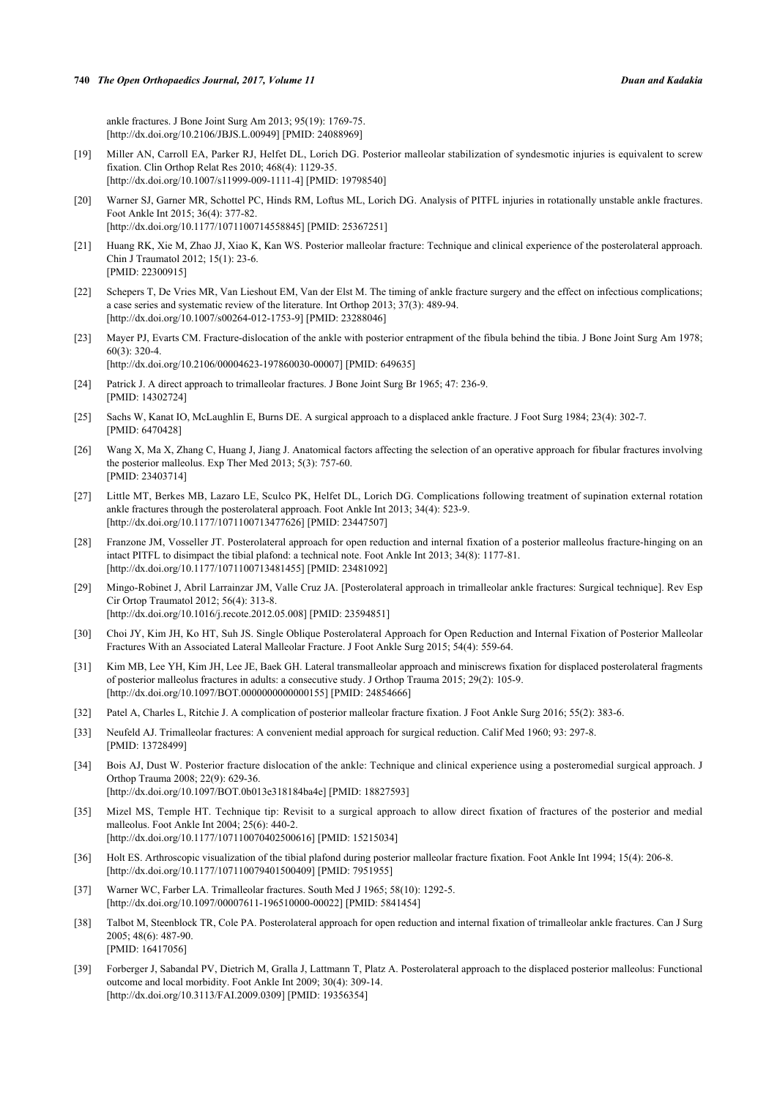ankle fractures. J Bone Joint Surg Am 2013; 95(19): 1769-75. [\[http://dx.doi.org/10.2106/JBJS.L.00949\]](http://dx.doi.org/10.2106/JBJS.L.00949) [PMID: [24088969](http://www.ncbi.nlm.nih.gov/pubmed/24088969)]

- <span id="page-8-0"></span>[19] Miller AN, Carroll EA, Parker RJ, Helfet DL, Lorich DG. Posterior malleolar stabilization of syndesmotic injuries is equivalent to screw fixation. Clin Orthop Relat Res 2010; 468(4): 1129-35. [\[http://dx.doi.org/10.1007/s11999-009-1111-4\]](http://dx.doi.org/10.1007/s11999-009-1111-4) [PMID: [19798540](http://www.ncbi.nlm.nih.gov/pubmed/19798540)]
- <span id="page-8-1"></span>[20] Warner SJ, Garner MR, Schottel PC, Hinds RM, Loftus ML, Lorich DG. Analysis of PITFL injuries in rotationally unstable ankle fractures. Foot Ankle Int 2015; 36(4): 377-82. [\[http://dx.doi.org/10.1177/1071100714558845\]](http://dx.doi.org/10.1177/1071100714558845) [PMID: [25367251](http://www.ncbi.nlm.nih.gov/pubmed/25367251)]
- <span id="page-8-2"></span>[21] Huang RK, Xie M, Zhao JJ, Xiao K, Kan WS. Posterior malleolar fracture: Technique and clinical experience of the posterolateral approach. Chin J Traumatol 2012; 15(1): 23-6. [PMID: [22300915\]](http://www.ncbi.nlm.nih.gov/pubmed/22300915)
- <span id="page-8-3"></span>[22] Schepers T, De Vries MR, Van Lieshout EM, Van der Elst M. The timing of ankle fracture surgery and the effect on infectious complications; a case series and systematic review of the literature. Int Orthop 2013; 37(3): 489-94. [\[http://dx.doi.org/10.1007/s00264-012-1753-9\]](http://dx.doi.org/10.1007/s00264-012-1753-9) [PMID: [23288046](http://www.ncbi.nlm.nih.gov/pubmed/23288046)]
- <span id="page-8-4"></span>[23] Mayer PJ, Evarts CM. Fracture-dislocation of the ankle with posterior entrapment of the fibula behind the tibia. J Bone Joint Surg Am 1978; 60(3): 320-4. [\[http://dx.doi.org/10.2106/00004623-197860030-00007](http://dx.doi.org/10.2106/00004623-197860030-00007)] [PMID: [649635\]](http://www.ncbi.nlm.nih.gov/pubmed/649635)
- [24] Patrick J. A direct approach to trimalleolar fractures. J Bone Joint Surg Br 1965; 47: 236-9. [PMID: [14302724\]](http://www.ncbi.nlm.nih.gov/pubmed/14302724)
- [25] Sachs W, Kanat IO, McLaughlin E, Burns DE. A surgical approach to a displaced ankle fracture. J Foot Surg 1984; 23(4): 302-7. [PMID: [6470428\]](http://www.ncbi.nlm.nih.gov/pubmed/6470428)
- <span id="page-8-13"></span>[26] Wang X, Ma X, Zhang C, Huang J, Jiang J. Anatomical factors affecting the selection of an operative approach for fibular fractures involving the posterior malleolus. Exp Ther Med 2013; 5(3): 757-60. [PMID: [23403714\]](http://www.ncbi.nlm.nih.gov/pubmed/23403714)
- <span id="page-8-16"></span>[27] Little MT, Berkes MB, Lazaro LE, Sculco PK, Helfet DL, Lorich DG. Complications following treatment of supination external rotation ankle fractures through the posterolateral approach. Foot Ankle Int 2013; 34(4): 523-9. [\[http://dx.doi.org/10.1177/1071100713477626\]](http://dx.doi.org/10.1177/1071100713477626) [PMID: [23447507](http://www.ncbi.nlm.nih.gov/pubmed/23447507)]
- <span id="page-8-14"></span>[28] Franzone JM, Vosseller JT. Posterolateral approach for open reduction and internal fixation of a posterior malleolus fracture-hinging on an intact PITFL to disimpact the tibial plafond: a technical note. Foot Ankle Int 2013; 34(8): 1177-81. [\[http://dx.doi.org/10.1177/1071100713481455\]](http://dx.doi.org/10.1177/1071100713481455) [PMID: [23481092](http://www.ncbi.nlm.nih.gov/pubmed/23481092)]
- [29] Mingo-Robinet J, Abril Larrainzar JM, Valle Cruz JA. [Posterolateral approach in trimalleolar ankle fractures: Surgical technique]. Rev Esp Cir Ortop Traumatol 2012; 56(4): 313-8. [\[http://dx.doi.org/10.1016/j.recote.2012.05.008\]](http://dx.doi.org/10.1016/j.recote.2012.05.008) [PMID: [23594851](http://www.ncbi.nlm.nih.gov/pubmed/23594851)]
- <span id="page-8-15"></span>[30] Choi JY, Kim JH, Ko HT, Suh JS. Single Oblique Posterolateral Approach for Open Reduction and Internal Fixation of Posterior Malleolar Fractures With an Associated Lateral Malleolar Fracture. J Foot Ankle Surg 2015; 54(4): 559-64.
- <span id="page-8-5"></span>[31] Kim MB, Lee YH, Kim JH, Lee JE, Baek GH. Lateral transmalleolar approach and miniscrews fixation for displaced posterolateral fragments of posterior malleolus fractures in adults: a consecutive study. J Orthop Trauma 2015; 29(2): 105-9. [\[http://dx.doi.org/10.1097/BOT.0000000000000155\]](http://dx.doi.org/10.1097/BOT.0000000000000155) [PMID: [24854666](http://www.ncbi.nlm.nih.gov/pubmed/24854666)]
- <span id="page-8-6"></span>[32] Patel A, Charles L, Ritchie J. A complication of posterior malleolar fracture fixation. J Foot Ankle Surg 2016; 55(2): 383-6.
- <span id="page-8-7"></span>[33] Neufeld AJ. Trimalleolar fractures: A convenient medial approach for surgical reduction. Calif Med 1960; 93: 297-8. [PMID: [13728499\]](http://www.ncbi.nlm.nih.gov/pubmed/13728499)
- <span id="page-8-8"></span>[34] Bois AJ, Dust W. Posterior fracture dislocation of the ankle: Technique and clinical experience using a posteromedial surgical approach. J Orthop Trauma 2008; 22(9): 629-36. [\[http://dx.doi.org/10.1097/BOT.0b013e318184ba4e](http://dx.doi.org/10.1097/BOT.0b013e318184ba4e)] [PMID: [18827593](http://www.ncbi.nlm.nih.gov/pubmed/18827593)]
- <span id="page-8-9"></span>[35] Mizel MS, Temple HT. Technique tip: Revisit to a surgical approach to allow direct fixation of fractures of the posterior and medial malleolus. Foot Ankle Int 2004; 25(6): 440-2. [\[http://dx.doi.org/10.1177/107110070402500616\]](http://dx.doi.org/10.1177/107110070402500616) [PMID: [15215034](http://www.ncbi.nlm.nih.gov/pubmed/15215034)]
- <span id="page-8-10"></span>[36] Holt ES. Arthroscopic visualization of the tibial plafond during posterior malleolar fracture fixation. Foot Ankle Int 1994; 15(4): 206-8. [\[http://dx.doi.org/10.1177/107110079401500409\]](http://dx.doi.org/10.1177/107110079401500409) [PMID: [7951955](http://www.ncbi.nlm.nih.gov/pubmed/7951955)]
- <span id="page-8-11"></span>[37] Warner WC, Farber LA. Trimalleolar fractures. South Med J 1965; 58(10): 1292-5. [\[http://dx.doi.org/10.1097/00007611-196510000-00022](http://dx.doi.org/10.1097/00007611-196510000-00022)] [PMID: [5841454\]](http://www.ncbi.nlm.nih.gov/pubmed/5841454)
- <span id="page-8-12"></span>[38] Talbot M, Steenblock TR, Cole PA. Posterolateral approach for open reduction and internal fixation of trimalleolar ankle fractures. Can J Surg 2005; 48(6): 487-90. [PMID: [16417056\]](http://www.ncbi.nlm.nih.gov/pubmed/16417056)
- <span id="page-8-17"></span>[39] Forberger J, Sabandal PV, Dietrich M, Gralla J, Lattmann T, Platz A. Posterolateral approach to the displaced posterior malleolus: Functional outcome and local morbidity. Foot Ankle Int 2009; 30(4): 309-14. [\[http://dx.doi.org/10.3113/FAI.2009.0309\]](http://dx.doi.org/10.3113/FAI.2009.0309) [PMID: [19356354](http://www.ncbi.nlm.nih.gov/pubmed/19356354)]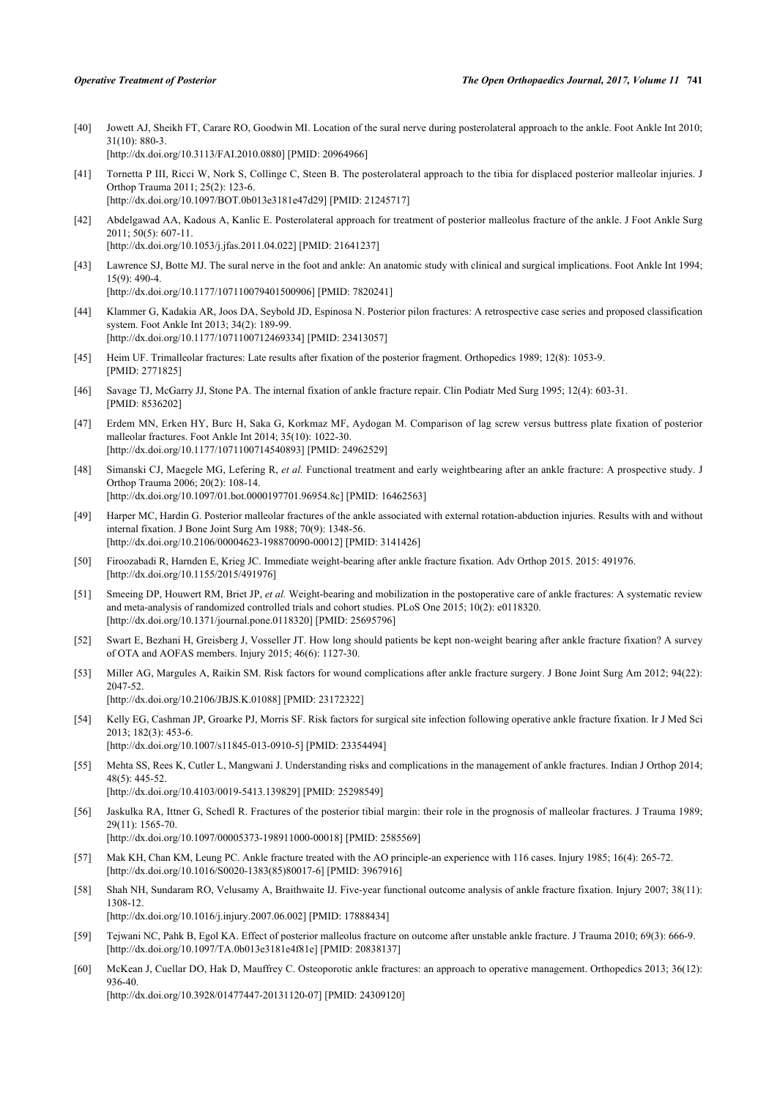- <span id="page-9-12"></span>[40] Jowett AJ, Sheikh FT, Carare RO, Goodwin MI. Location of the sural nerve during posterolateral approach to the ankle. Foot Ankle Int 2010; 31(10): 880-3. [\[http://dx.doi.org/10.3113/FAI.2010.0880\]](http://dx.doi.org/10.3113/FAI.2010.0880) [PMID: [20964966](http://www.ncbi.nlm.nih.gov/pubmed/20964966)]
- <span id="page-9-2"></span>[41] Tornetta P III, Ricci W, Nork S, Collinge C, Steen B. The posterolateral approach to the tibia for displaced posterior malleolar injuries. J Orthop Trauma 2011; 25(2): 123-6. [\[http://dx.doi.org/10.1097/BOT.0b013e3181e47d29\]](http://dx.doi.org/10.1097/BOT.0b013e3181e47d29) [PMID: [21245717](http://www.ncbi.nlm.nih.gov/pubmed/21245717)]
- <span id="page-9-0"></span>[42] Abdelgawad AA, Kadous A, Kanlic E. Posterolateral approach for treatment of posterior malleolus fracture of the ankle. J Foot Ankle Surg 2011; 50(5): 607-11. [\[http://dx.doi.org/10.1053/j.jfas.2011.04.022\]](http://dx.doi.org/10.1053/j.jfas.2011.04.022) [PMID: [21641237](http://www.ncbi.nlm.nih.gov/pubmed/21641237)]
- <span id="page-9-1"></span>[43] Lawrence SJ, Botte MJ. The sural nerve in the foot and ankle: An anatomic study with clinical and surgical implications. Foot Ankle Int 1994; 15(9): 490-4. [\[http://dx.doi.org/10.1177/107110079401500906\]](http://dx.doi.org/10.1177/107110079401500906) [PMID: [7820241](http://www.ncbi.nlm.nih.gov/pubmed/7820241)]
- <span id="page-9-3"></span>[44] Klammer G, Kadakia AR, Joos DA, Seybold JD, Espinosa N. Posterior pilon fractures: A retrospective case series and proposed classification system. Foot Ankle Int 2013; 34(2): 189-99. [\[http://dx.doi.org/10.1177/1071100712469334\]](http://dx.doi.org/10.1177/1071100712469334) [PMID: [23413057](http://www.ncbi.nlm.nih.gov/pubmed/23413057)]
- <span id="page-9-4"></span>[45] Heim UF. Trimalleolar fractures: Late results after fixation of the posterior fragment. Orthopedics 1989; 12(8): 1053-9. [PMID: [2771825\]](http://www.ncbi.nlm.nih.gov/pubmed/2771825)
- <span id="page-9-5"></span>[46] Savage TJ, McGarry JJ, Stone PA. The internal fixation of ankle fracture repair. Clin Podiatr Med Surg 1995; 12(4): 603-31. [PMID: [8536202\]](http://www.ncbi.nlm.nih.gov/pubmed/8536202)
- <span id="page-9-6"></span>[47] Erdem MN, Erken HY, Burc H, Saka G, Korkmaz MF, Aydogan M. Comparison of lag screw versus buttress plate fixation of posterior malleolar fractures. Foot Ankle Int 2014; 35(10): 1022-30. [\[http://dx.doi.org/10.1177/1071100714540893\]](http://dx.doi.org/10.1177/1071100714540893) [PMID: [24962529](http://www.ncbi.nlm.nih.gov/pubmed/24962529)]
- <span id="page-9-7"></span>[48] Simanski CJ, Maegele MG, Lefering R, *et al.* Functional treatment and early weightbearing after an ankle fracture: A prospective study. J Orthop Trauma 2006; 20(2): 108-14. [\[http://dx.doi.org/10.1097/01.bot.0000197701.96954.8c\]](http://dx.doi.org/10.1097/01.bot.0000197701.96954.8c) [PMID: [16462563](http://www.ncbi.nlm.nih.gov/pubmed/16462563)]
- <span id="page-9-8"></span>[49] Harper MC, Hardin G. Posterior malleolar fractures of the ankle associated with external rotation-abduction injuries. Results with and without internal fixation. J Bone Joint Surg Am 1988; 70(9): 1348-56. [\[http://dx.doi.org/10.2106/00004623-198870090-00012](http://dx.doi.org/10.2106/00004623-198870090-00012)] [PMID: [3141426\]](http://www.ncbi.nlm.nih.gov/pubmed/3141426)
- <span id="page-9-9"></span>[50] Firoozabadi R, Harnden E, Krieg JC. Immediate weight-bearing after ankle fracture fixation. Adv Orthop 2015. 2015: 491976. [\[http://dx.doi.org/10.1155/2015/491976](http://dx.doi.org/10.1155/2015/491976)]
- <span id="page-9-10"></span>[51] Smeeing DP, Houwert RM, Briet JP, *et al.* Weight-bearing and mobilization in the postoperative care of ankle fractures: A systematic review and meta-analysis of randomized controlled trials and cohort studies. PLoS One 2015; 10(2): e0118320. [\[http://dx.doi.org/10.1371/journal.pone.0118320](http://dx.doi.org/10.1371/journal.pone.0118320)] [PMID: [25695796\]](http://www.ncbi.nlm.nih.gov/pubmed/25695796)
- <span id="page-9-11"></span>[52] Swart E, Bezhani H, Greisberg J, Vosseller JT. How long should patients be kept non-weight bearing after ankle fracture fixation? A survey of OTA and AOFAS members. Injury 2015; 46(6): 1127-30.
- <span id="page-9-13"></span>[53] Miller AG, Margules A, Raikin SM. Risk factors for wound complications after ankle fracture surgery. J Bone Joint Surg Am 2012; 94(22): 2047-52. [\[http://dx.doi.org/10.2106/JBJS.K.01088\]](http://dx.doi.org/10.2106/JBJS.K.01088) [PMID: [23172322](http://www.ncbi.nlm.nih.gov/pubmed/23172322)]
- <span id="page-9-14"></span>[54] Kelly EG, Cashman JP, Groarke PJ, Morris SF. Risk factors for surgical site infection following operative ankle fracture fixation. Ir J Med Sci 2013; 182(3): 453-6. [\[http://dx.doi.org/10.1007/s11845-013-0910-5\]](http://dx.doi.org/10.1007/s11845-013-0910-5) [PMID: [23354494](http://www.ncbi.nlm.nih.gov/pubmed/23354494)]
- <span id="page-9-15"></span>[55] Mehta SS, Rees K, Cutler L, Mangwani J. Understanding risks and complications in the management of ankle fractures. Indian J Orthop 2014; 48(5): 445-52. [\[http://dx.doi.org/10.4103/0019-5413.139829](http://dx.doi.org/10.4103/0019-5413.139829)] [PMID: [25298549](http://www.ncbi.nlm.nih.gov/pubmed/25298549)]
- <span id="page-9-16"></span>[56] Jaskulka RA, Ittner G, Schedl R. Fractures of the posterior tibial margin: their role in the prognosis of malleolar fractures. J Trauma 1989; 29(11): 1565-70. [\[http://dx.doi.org/10.1097/00005373-198911000-00018](http://dx.doi.org/10.1097/00005373-198911000-00018)] [PMID: [2585569\]](http://www.ncbi.nlm.nih.gov/pubmed/2585569)
- <span id="page-9-17"></span>[57] Mak KH, Chan KM, Leung PC. Ankle fracture treated with the AO principle-an experience with 116 cases. Injury 1985; 16(4): 265-72. [\[http://dx.doi.org/10.1016/S0020-1383\(85\)80017-6\]](http://dx.doi.org/10.1016/S0020-1383(85)80017-6) [PMID: [3967916](http://www.ncbi.nlm.nih.gov/pubmed/3967916)]
- [58] Shah NH, Sundaram RO, Velusamy A, Braithwaite IJ. Five-year functional outcome analysis of ankle fracture fixation. Injury 2007; 38(11): 1308-12.
	- [\[http://dx.doi.org/10.1016/j.injury.2007.06.002](http://dx.doi.org/10.1016/j.injury.2007.06.002)] [PMID: [17888434\]](http://www.ncbi.nlm.nih.gov/pubmed/17888434)
- [59] Tejwani NC, Pahk B, Egol KA. Effect of posterior malleolus fracture on outcome after unstable ankle fracture. J Trauma 2010; 69(3): 666-9. [\[http://dx.doi.org/10.1097/TA.0b013e3181e4f81e\]](http://dx.doi.org/10.1097/TA.0b013e3181e4f81e) [PMID: [20838137](http://www.ncbi.nlm.nih.gov/pubmed/20838137)]
- [60] McKean J, Cuellar DO, Hak D, Mauffrey C. Osteoporotic ankle fractures: an approach to operative management. Orthopedics 2013; 36(12): 936-40.

[\[http://dx.doi.org/10.3928/01477447-20131120-07](http://dx.doi.org/10.3928/01477447-20131120-07)] [PMID: [24309120\]](http://www.ncbi.nlm.nih.gov/pubmed/24309120)